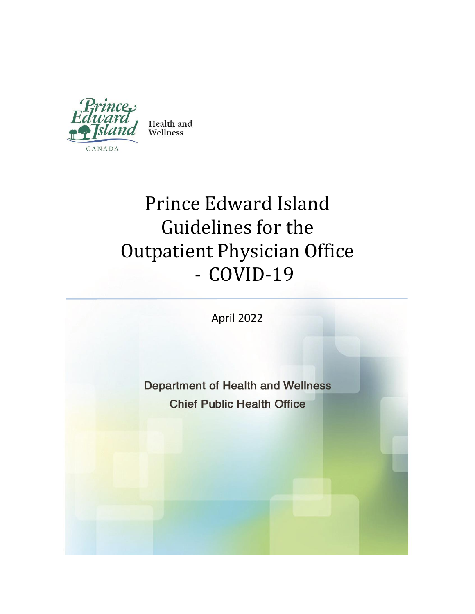

Health and Wellness

# Prince Edward Island Guidelines for the Outpatient Physician Office - COVID-19

April 2022

**Department of Health and Wellness Chief Public Health Office**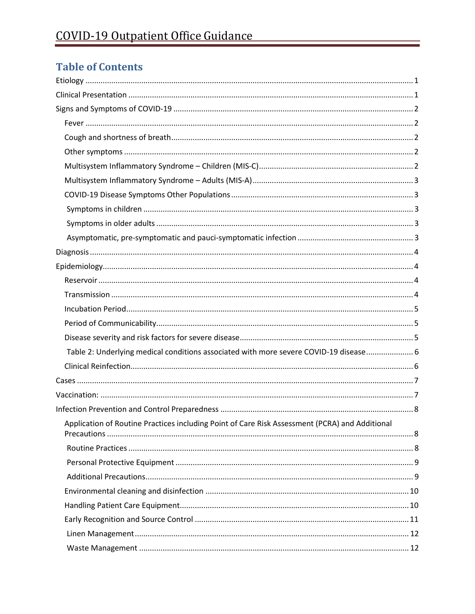## **Table of Contents**

| Table 2: Underlying medical conditions associated with more severe COVID-19 disease 6          |  |
|------------------------------------------------------------------------------------------------|--|
|                                                                                                |  |
|                                                                                                |  |
|                                                                                                |  |
|                                                                                                |  |
| Application of Routine Practices including Point of Care Risk Assessment (PCRA) and Additional |  |
|                                                                                                |  |
|                                                                                                |  |
|                                                                                                |  |
|                                                                                                |  |
|                                                                                                |  |
|                                                                                                |  |
|                                                                                                |  |
|                                                                                                |  |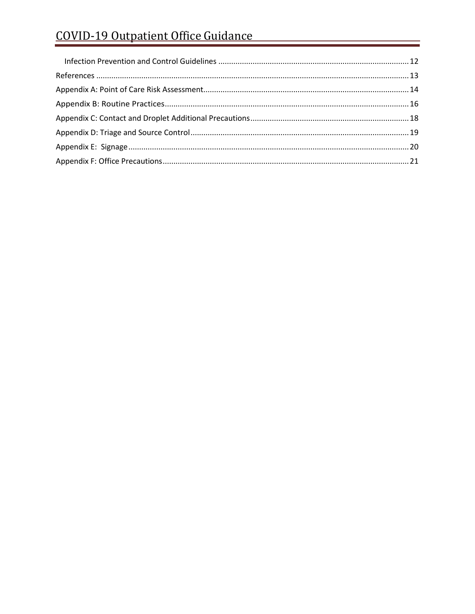# COVID-19 Outpatient Office Guidance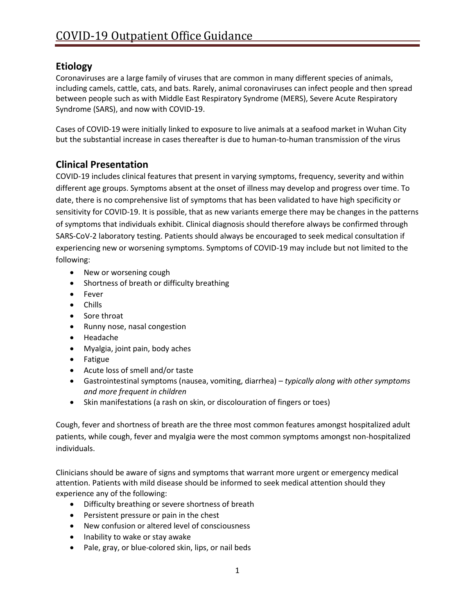## <span id="page-4-0"></span>**Etiology**

Coronaviruses are a large family of viruses that are common in many different species of animals, including camels, cattle, cats, and bats. Rarely, animal coronaviruses can infect people and then spread between people such as with Middle East Respiratory Syndrome [\(MERS\)](https://www.cdc.gov/coronavirus/mers/index.html), Severe Acute Respiratory Syndrome [\(SARS\)](https://www.cdc.gov/sars/index.html), and now with [COVID-19.](https://www.cdc.gov/coronavirus/2019-ncov/index.html)

Cases of COVID-19 were initially linked to exposure to live animals at a seafood market in Wuhan City but the substantial increase in cases thereafter is due to human-to-human transmission of the virus

## <span id="page-4-1"></span>**Clinical Presentation**

COVID-19 includes clinical features that present in varying symptoms, frequency, severity and within different age groups. Symptoms absent at the onset of illness may develop and progress over time. To date, there is no comprehensive list of symptoms that has been validated to have high specificity or sensitivity for COVID-19. It is possible, that as new variants emerge there may be changes in the patterns of symptoms that individuals exhibit. Clinical diagnosis should therefore always be confirmed through SARS-CoV-2 laboratory testing. Patients should always be encouraged to seek medical consultation if experiencing new or worsening symptoms. Symptoms of COVID-19 may include but not limited to the following:

- New or worsening cough
- Shortness of breath or difficulty breathing
- Fever
- Chills
- Sore throat
- Runny nose, nasal congestion
- Headache
- Myalgia, joint pain, body aches
- Fatigue
- Acute loss of smell and/or taste
- Gastrointestinal symptoms (nausea, vomiting, diarrhea) *typically along with other symptoms and more frequent in children*
- Skin manifestations (a rash on skin, or discolouration of fingers or toes)

Cough, fever and shortness of breath are the three most common features amongst hospitalized adult patients, while cough, fever and myalgia were the most common symptoms amongst non-hospitalized individuals.

Clinicians should be aware of signs and symptoms that warrant more urgent or emergency medical attention. Patients with mild disease should be informed to seek medical attention should they experience any of the following:

- Difficulty breathing or severe shortness of breath
- Persistent pressure or pain in the chest
- New confusion or altered level of consciousness
- Inability to wake or stay awake
- Pale, gray, or blue-colored skin, lips, or nail beds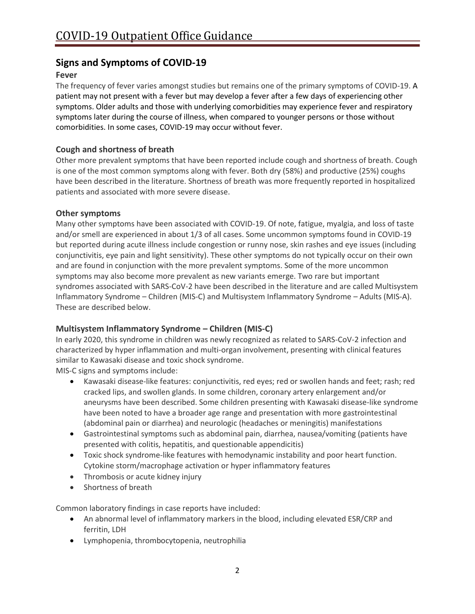## <span id="page-5-0"></span>**Signs and Symptoms of COVID-19**

## <span id="page-5-1"></span>**Fever**

The frequency of fever varies amongst studies but remains one of the primary symptoms of COVID-19. A patient may not present with a fever but may develop a fever after a few days of experiencing other symptoms. Older adults and those with underlying comorbidities may experience fever and respiratory symptoms later during the course of illness, when compared to younger persons or those without comorbidities. In some cases, COVID-19 may occur without fever.

## <span id="page-5-2"></span>**Cough and shortness of breath**

Other more prevalent symptoms that have been reported include cough and shortness of breath. Cough is one of the most common symptoms along with fever. Both dry (58%) and productive (25%) coughs have been described in the literature. Shortness of breath was more frequently reported in hospitalized patients and associated with more severe disease.

## <span id="page-5-3"></span>**Other symptoms**

Many other symptoms have been associated with COVID-19. Of note, fatigue, myalgia, and loss of taste and/or smell are experienced in about 1/3 of all cases. Some uncommon symptoms found in COVID-19 but reported during acute illness include congestion or runny nose, skin rashes and eye issues (including conjunctivitis, eye pain and light sensitivity). These other symptoms do not typically occur on their own and are found in conjunction with the more prevalent symptoms. Some of the more uncommon symptoms may also become more prevalent as new variants emerge. Two rare but important syndromes associated with SARS-CoV-2 have been described in the literature and are called Multisystem Inflammatory Syndrome – Children (MIS-C) and Multisystem Inflammatory Syndrome – Adults (MIS-A). These are described below.

## <span id="page-5-4"></span>**Multisystem Inflammatory Syndrome – Children (MIS-C)**

In early 2020, this syndrome in children was newly recognized as related to SARS-CoV-2 infection and characterized by hyper inflammation and multi-organ involvement, presenting with clinical features similar to Kawasaki disease and toxic shock syndrome.

MIS-C signs and symptoms include:

- Kawasaki disease-like features: conjunctivitis, red eyes; red or swollen hands and feet; rash; red cracked lips, and swollen glands. In some children, coronary artery enlargement and/or aneurysms have been described. Some children presenting with Kawasaki disease-like syndrome have been noted to have a broader age range and presentation with more gastrointestinal (abdominal pain or diarrhea) and neurologic (headaches or meningitis) manifestations
- Gastrointestinal symptoms such as abdominal pain, diarrhea, nausea/vomiting (patients have presented with colitis, hepatitis, and questionable appendicitis)
- Toxic shock syndrome-like features with hemodynamic instability and poor heart function. Cytokine storm/macrophage activation or hyper inflammatory features
- Thrombosis or acute kidney injury
- Shortness of breath

Common laboratory findings in case reports have included:

- An abnormal level of inflammatory markers in the blood, including elevated ESR/CRP and ferritin, LDH
- Lymphopenia, thrombocytopenia, neutrophilia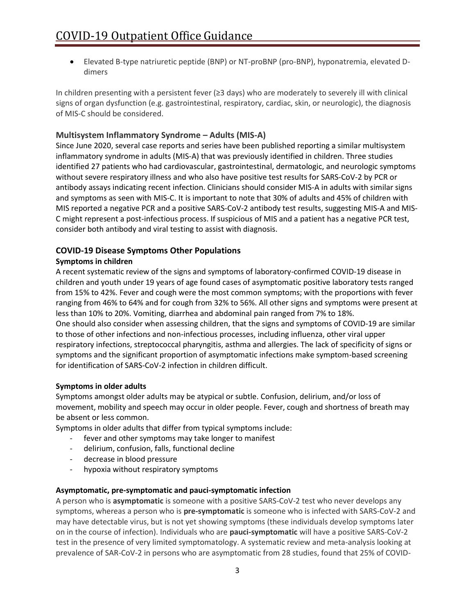• Elevated B-type natriuretic peptide (BNP) or NT-proBNP (pro-BNP), hyponatremia, elevated Ddimers

In children presenting with a persistent fever (≥3 days) who are moderately to severely ill with clinical signs of organ dysfunction (e.g. gastrointestinal, respiratory, cardiac, skin, or neurologic), the diagnosis of MIS-C should be considered.

## <span id="page-6-0"></span>**Multisystem Inflammatory Syndrome – Adults (MIS-A)**

Since June 2020, several case reports and series have been published reporting a similar multisystem inflammatory syndrome in adults (MIS-A) that was previously identified in children. Three studies identified 27 patients who had cardiovascular, gastrointestinal, dermatologic, and neurologic symptoms without severe respiratory illness and who also have positive test results for SARS-CoV-2 by PCR or antibody assays indicating recent infection. Clinicians should consider MIS-A in adults with similar signs and symptoms as seen with MIS-C. It is important to note that 30% of adults and 45% of children with MIS reported a negative PCR and a positive SARS-CoV-2 antibody test results, suggesting MIS-A and MIS-C might represent a post-infectious process. If suspicious of MIS and a patient has a negative PCR test, consider both antibody and viral testing to assist with diagnosis.

## <span id="page-6-1"></span>**COVID-19 Disease Symptoms Other Populations**

## <span id="page-6-2"></span>**Symptoms in children**

A recent systematic review of the signs and symptoms of laboratory-confirmed COVID-19 disease in children and youth under 19 years of age found cases of asymptomatic positive laboratory tests ranged from 15% to 42%. Fever and cough were the most common symptoms; with the proportions with fever ranging from 46% to 64% and for cough from 32% to 56%. All other signs and symptoms were present at less than 10% to 20%. Vomiting, diarrhea and abdominal pain ranged from 7% to 18%. One should also consider when assessing children, that the signs and symptoms of COVID-19 are similar to those of other infections and non-infectious processes, including influenza, other viral upper respiratory infections, streptococcal pharyngitis, asthma and allergies. The lack of specificity of signs or symptoms and the significant proportion of asymptomatic infections make symptom-based screening for identification of SARS-CoV-2 infection in children difficult.

#### <span id="page-6-3"></span>**Symptoms in older adults**

Symptoms amongst older adults may be atypical or subtle. Confusion, delirium, and/or loss of movement, mobility and speech may occur in older people. Fever, cough and shortness of breath may be absent or less common.

Symptoms in older adults that differ from typical symptoms include:

- fever and other symptoms may take longer to manifest
- delirium, confusion, falls, functional decline
- decrease in blood pressure
- hypoxia without respiratory symptoms

#### <span id="page-6-4"></span>**Asymptomatic, pre-symptomatic and pauci-symptomatic infection**

A person who is **asymptomatic** is someone with a positive SARS-CoV-2 test who never develops any symptoms, whereas a person who is **pre-symptomatic** is someone who is infected with SARS-CoV-2 and may have detectable virus, but is not yet showing symptoms (these individuals develop symptoms later on in the course of infection). Individuals who are **pauci-symptomatic** will have a positive SARS-CoV-2 test in the presence of very limited symptomatology. A systematic review and meta-analysis looking at prevalence of SAR-CoV-2 in persons who are asymptomatic from 28 studies, found that 25% of COVID-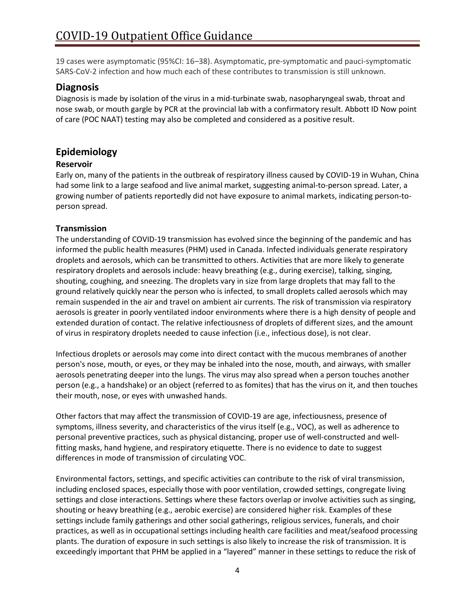19 cases were asymptomatic (95%CI: 16–38). Asymptomatic, pre-symptomatic and pauci-symptomatic SARS-CoV-2 infection and how much each of these contributes to transmission is still unknown.

## <span id="page-7-0"></span>**Diagnosis**

Diagnosis is made by isolation of the virus in a mid-turbinate swab, nasopharyngeal swab, throat and nose swab, or mouth gargle by PCR at the provincial lab with a confirmatory result. Abbott ID Now point of care (POC NAAT) testing may also be completed and considered as a positive result.

## <span id="page-7-1"></span>**Epidemiology**

## <span id="page-7-2"></span>**Reservoir**

Early on, many of the patients in the outbreak of respiratory illness caused by COVID-19 in Wuhan, China had some link to a large seafood and live animal market, suggesting animal-to-person spread. Later, a growing number of patients reportedly did not have exposure to animal markets, indicating person-toperson spread.

## <span id="page-7-3"></span>**Transmission**

The understanding of COVID-19 transmission has evolved since the beginning of the pandemic and has informed the public health measures (PHM) used in Canada. Infected individuals generate respiratory droplets and aerosols, which can be transmitted to others. Activities that are more likely to generate respiratory droplets and aerosols include: heavy breathing (e.g., during exercise), talking, singing, shouting, coughing, and sneezing. The droplets vary in size from large droplets that may fall to the ground relatively quickly near the person who is infected, to small droplets called aerosols which may remain suspended in the air and travel on ambient air currents. The risk of transmission via respiratory aerosols is greater in poorly ventilated indoor environments where there is a high density of people and extended duration of contact. The relative infectiousness of droplets of different sizes, and the amount of virus in respiratory droplets needed to cause infection (i.e., infectious dose), is not clear.

Infectious droplets or aerosols may come into direct contact with the mucous membranes of another person's nose, mouth, or eyes, or they may be inhaled into the nose, mouth, and airways, with smaller aerosols penetrating deeper into the lungs. The virus may also spread when a person touches another person (e.g., a handshake) or an object (referred to as fomites) that has the virus on it, and then touches their mouth, nose, or eyes with unwashed hands.

Other factors that may affect the transmission of COVID-19 are age, infectiousness, presence of symptoms, illness severity, and characteristics of the virus itself (e.g., VOC), as well as adherence to personal preventive practices, such as physical distancing, proper use of well-constructed and wellfitting masks, hand hygiene, and respiratory etiquette. There is no evidence to date to suggest differences in mode of transmission of circulating VOC.

Environmental factors, settings, and specific activities can contribute to the risk of viral transmission, including enclosed spaces, especially those with poor ventilation, crowded settings, congregate living settings and close interactions. Settings where these factors overlap or involve activities such as singing, shouting or heavy breathing (e.g., aerobic exercise) are considered higher risk. Examples of these settings include family gatherings and other social gatherings, religious services, funerals, and choir practices, as well as in occupational settings including health care facilities and meat/seafood processing plants. The duration of exposure in such settings is also likely to increase the risk of transmission. It is exceedingly important that PHM be applied in a "layered" manner in these settings to reduce the risk of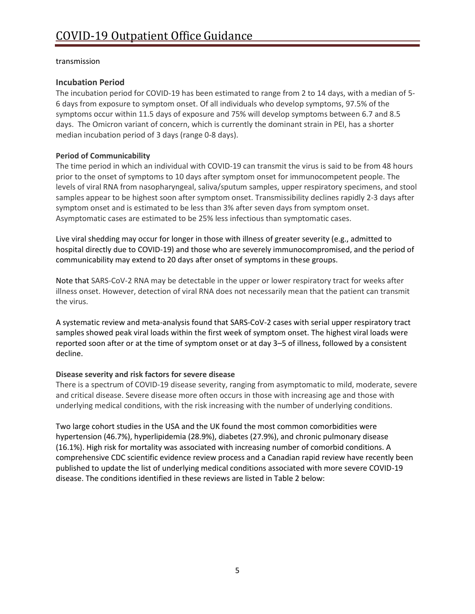#### transmission

## <span id="page-8-0"></span>**Incubation Period**

The incubation period for COVID-19 has been estimated to range from 2 to 14 days, with a median of 5- 6 days from exposure to symptom onset. Of all individuals who develop symptoms, 97.5% of the symptoms occur within 11.5 days of exposure and 75% will develop symptoms between 6.7 and 8.5 days. The Omicron variant of concern, which is currently the dominant strain in PEI, has a shorter median incubation period of 3 days (range 0-8 days).

## <span id="page-8-1"></span>**Period of Communicability**

The time period in which an individual with COVID-19 can transmit the virus is said to be from 48 hours prior to the onset of symptoms to 10 days after symptom onset for immunocompetent people. The levels of viral RNA from nasopharyngeal, saliva/sputum samples, upper respiratory specimens, and stool samples appear to be highest soon after symptom onset. Transmissibility declines rapidly 2-3 days after symptom onset and is estimated to be less than 3% after seven days from symptom onset. Asymptomatic cases are estimated to be 25% less infectious than symptomatic cases.

Live viral shedding may occur for longer in those with illness of greater severity (e.g., admitted to hospital directly due to COVID-19) and those who are severely immunocompromised, and the period of communicability may extend to 20 days after onset of symptoms in these groups.

Note that SARS-CoV-2 RNA may be detectable in the upper or lower respiratory tract for weeks after illness onset. However, detection of viral RNA does not necessarily mean that the patient can transmit the virus.

A systematic review and meta-analysis found that SARS-CoV-2 cases with serial upper respiratory tract samples showed peak viral loads within the first week of symptom onset. The highest viral loads were reported soon after or at the time of symptom onset or at day 3–5 of illness, followed by a consistent decline.

## <span id="page-8-2"></span>**Disease severity and risk factors for severe disease**

There is a spectrum of COVID-19 disease severity, ranging from asymptomatic to mild, moderate, severe and critical disease. Severe disease more often occurs in those with increasing age and those with underlying medical conditions, with the risk increasing with the number of underlying conditions.

Two large cohort studies in the USA and the UK found the most common comorbidities were hypertension (46.7%), hyperlipidemia (28.9%), diabetes (27.9%), and chronic pulmonary disease (16.1%). High risk for mortality was associated with increasing number of comorbid conditions. A comprehensive CDC scientific evidence review process and a Canadian rapid review have recently been published to update the list of underlying medical conditions associated with more severe COVID-19 disease. The conditions identified in these reviews are listed in Table 2 below: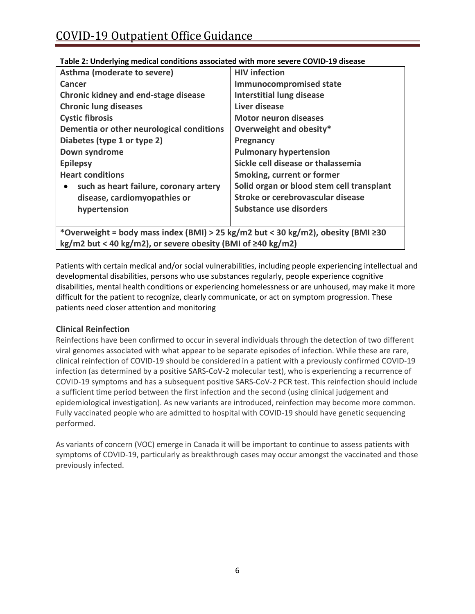| Asthma (moderate to severe)                                                      | <b>HIV</b> infection                      |  |
|----------------------------------------------------------------------------------|-------------------------------------------|--|
| Cancer                                                                           | <b>Immunocompromised state</b>            |  |
| Chronic kidney and end-stage disease                                             | <b>Interstitial lung disease</b>          |  |
| <b>Chronic lung diseases</b>                                                     | Liver disease                             |  |
| <b>Cystic fibrosis</b>                                                           | <b>Motor neuron diseases</b>              |  |
| Dementia or other neurological conditions                                        | Overweight and obesity*                   |  |
| Diabetes (type 1 or type 2)                                                      | Pregnancy                                 |  |
| Down syndrome                                                                    | <b>Pulmonary hypertension</b>             |  |
| <b>Epilepsy</b>                                                                  | Sickle cell disease or thalassemia        |  |
| <b>Heart conditions</b>                                                          | Smoking, current or former                |  |
| such as heart failure, coronary artery<br>$\bullet$                              | Solid organ or blood stem cell transplant |  |
| disease, cardiomyopathies or                                                     | Stroke or cerebrovascular disease         |  |
| hypertension                                                                     | Substance use disorders                   |  |
|                                                                                  |                                           |  |
| *Overweight = body mass index (BMI) > 25 kg/m2 but < 30 kg/m2), obesity (BMI ≥30 |                                           |  |
| kg/m2 but < 40 kg/m2), or severe obesity (BMI of $\geq$ 40 kg/m2)                |                                           |  |

## <span id="page-9-0"></span>**Table 2: Underlying medical conditions associated with more severe COVID-19 disease**

Patients with certain medical and/or social vulnerabilities, including people experiencing intellectual and developmental disabilities, persons who use substances regularly, people experience cognitive disabilities, mental health conditions or experiencing homelessness or are unhoused, may make it more difficult for the patient to recognize, clearly communicate, or act on symptom progression. These patients need closer attention and monitoring

## <span id="page-9-1"></span>**Clinical Reinfection**

Reinfections have been confirmed to occur in several individuals through the detection of two different viral genomes associated with what appear to be separate episodes of infection. While these are rare, clinical reinfection of COVID-19 should be considered in a patient with a previously confirmed COVID-19 infection (as determined by a positive SARS-CoV-2 molecular test), who is experiencing a recurrence of COVID-19 symptoms and has a subsequent positive SARS-CoV-2 PCR test. This reinfection should include a sufficient time period between the first infection and the second (using clinical judgement and epidemiological investigation). As new variants are introduced, reinfection may become more common. Fully vaccinated people who are admitted to hospital with COVID-19 should have genetic sequencing performed.

As variants of concern (VOC) emerge in Canada it will be important to continue to assess patients with symptoms of COVID-19, particularly as breakthrough cases may occur amongst the vaccinated and those previously infected.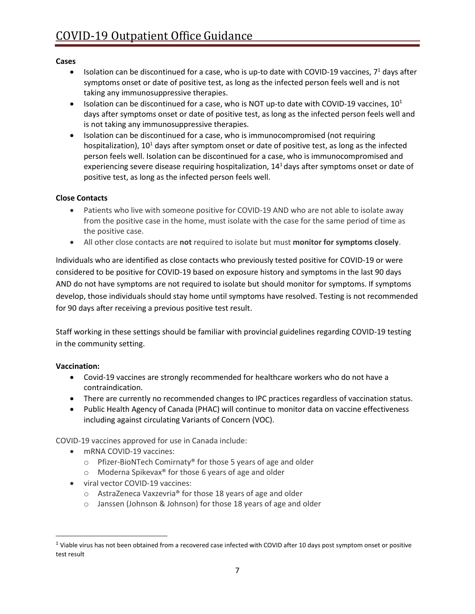#### <span id="page-10-0"></span>**Cases**

- Isolation can be discontinued for a case, who is up-to date with COVID-19 vaccines,  $7<sup>1</sup>$  days after symptoms onset or date of positive test, as long as the infected person feels well and is not taking any immunosuppressive therapies.
- Isolation can be discontinued for a case, who is NOT up-to date with COVID-19 vaccines,  $10^1$ days after symptoms onset or date of positive test, as long as the infected person feels well and is not taking any immunosuppressive therapies.
- Isolation can be discontinued for a case, who is immunocompromised (not requiring hospitalization),  $10<sup>1</sup>$  days after symptom onset or date of positive test, as long as the infected person feels well. Isolation can be discontinued for a case, who is immunocompromised and experiencing severe disease requiring hospitalization,  $14<sup>1</sup>$  days after symptoms onset or date of positive test, as long as the infected person feels well.

## **Close Contacts**

- Patients who live with someone positive for COVID-19 AND who are not able to isolate away from the positive case in the home, must isolate with the case for the same period of time as the positive case.
- All other close contacts are **not** required to isolate but must **monitor for symptoms closely**.

Individuals who are identified as close contacts who previously tested positive for COVID-19 or were considered to be positive for COVID-19 based on exposure history and symptoms in the last 90 days AND do not have symptoms are not required to isolate but should monitor for symptoms. If symptoms develop, those individuals should stay home until symptoms have resolved. Testing is not recommended for 90 days after receiving a previous positive test result.

Staff working in these settings should be familiar with provincial guidelines regarding COVID-19 testing in the community setting.

## <span id="page-10-1"></span>**Vaccination:**

- Covid-19 vaccines are strongly recommended for healthcare workers who do not have a contraindication.
- There are currently no recommended changes to IPC practices regardless of vaccination status.
- Public Health Agency of Canada (PHAC) will continue to monitor data on vaccine effectiveness including against circulating Variants of Concern (VOC).

COVID-19 vaccines approved for use in Canada include:

- mRNA COVID-19 vaccines:
	- o Pfizer-BioNTech Comirnaty® for those 5 years of age and older
	- o Moderna Spikevax® for those 6 years of age and older
- viral vector COVID-19 vaccines:
	- o AstraZeneca Vaxzevria® for those 18 years of age and older
	- o Janssen (Johnson & Johnson) for those 18 years of age and older

 $1$  Viable virus has not been obtained from a recovered case infected with COVID after 10 days post symptom onset or positive test result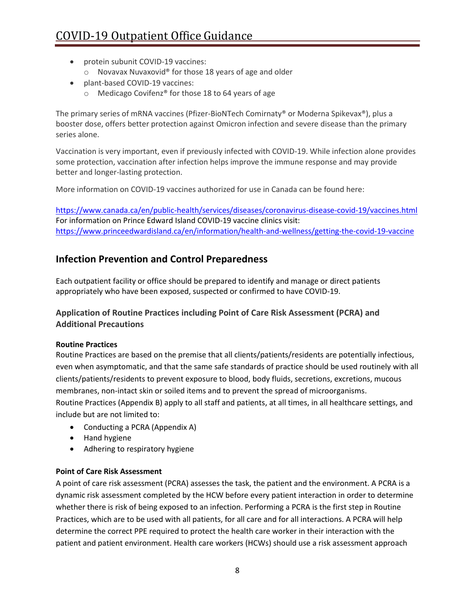- protein subunit COVID-19 vaccines:
	- o Novavax Nuvaxovid® for those 18 years of age and older
- plant-based COVID-19 vaccines:
	- o Medicago Covifenz® for those 18 to 64 years of age

The primary series of mRNA vaccines (Pfizer-BioNTech Comirnaty® or Moderna Spikevax®), plus a booster dose, offers better protection against Omicron infection and severe disease than the primary series alone.

Vaccination is very important, even if previously infected with COVID-19. While infection alone provides some protection, vaccination after infection helps improve the immune response and may provide better and longer-lasting protection.

More information on COVID-19 vaccines authorized for use in Canada can be found here:

<https://www.canada.ca/en/public-health/services/diseases/coronavirus-disease-covid-19/vaccines.html> For information on Prince Edward Island COVID-19 vaccine clinics visit: <https://www.princeedwardisland.ca/en/information/health-and-wellness/getting-the-covid-19-vaccine>

## <span id="page-11-0"></span>**Infection Prevention and Control Preparedness**

Each outpatient facility or office should be prepared to identify and manage or direct patients appropriately who have been exposed, suspected or confirmed to have COVID-19.

## <span id="page-11-1"></span>**Application of Routine Practices including Point of Care Risk Assessment (PCRA) and Additional Precautions**

## <span id="page-11-2"></span>**Routine Practices**

Routine Practices are based on the premise that all clients/patients/residents are potentially infectious, even when asymptomatic, and that the same safe standards of practice should be used routinely with all clients/patients/residents to prevent exposure to blood, body fluids, secretions, excretions, mucous membranes, non-intact skin or soiled items and to prevent the spread of microorganisms. Routine Practices (Appendix B) apply to all staff and patients, at all times, in all healthcare settings, and include but are not limited to:

- Conducting a PCRA (Appendix A)
- Hand hygiene
- Adhering to respiratory hygiene

## **Point of Care Risk Assessment**

A point of care risk assessment (PCRA) assesses the task, the patient and the environment. A PCRA is a dynamic risk assessment completed by the HCW before every patient interaction in order to determine whether there is risk of being exposed to an infection. Performing a PCRA is the first step in Routine Practices, which are to be used with all patients, for all care and for all interactions. A PCRA will help determine the correct PPE required to protect the health care worker in their interaction with the patient and patient environment. Health care workers (HCWs) should use a risk assessment approach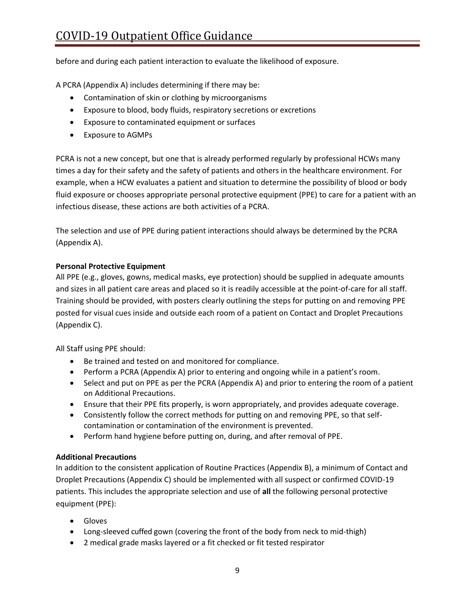before and during each patient interaction to evaluate the likelihood of exposure.

A PCRA (Appendix A) includes determining if there may be:

- Contamination of skin or clothing by microorganisms
- Exposure to blood, body fluids, respiratory secretions or excretions
- Exposure to contaminated equipment or surfaces
- Exposure to AGMPs

PCRA is not a new concept, but one that is already performed regularly by professional HCWs many times a day for their safety and the safety of patients and others in the healthcare environment. For example, when a HCW evaluates a patient and situation to determine the possibility of blood or body fluid exposure or chooses appropriate personal protective equipment (PPE) to care for a patient with an infectious disease, these actions are both activities of a PCRA.

The selection and use of PPE during patient interactions should always be determined by the PCRA (Appendix A).

## <span id="page-12-0"></span>**Personal Protective Equipment**

All PPE (e.g., gloves, gowns, medical masks, eye protection) should be supplied in adequate amounts and sizes in all patient care areas and placed so it is readily accessible at the point-of-care for all staff. Training should be provided, with posters clearly outlining the steps for putting on and removing PPE posted for visual cues inside and outside each room of a patient on Contact and Droplet Precautions (Appendix C).

All Staff using PPE should:

- Be trained and tested on and monitored for compliance.
- Perform a PCRA (Appendix A) prior to entering and ongoing while in a patient's room.
- Select and put on PPE as per the PCRA (Appendix A) and prior to entering the room of a patient on Additional Precautions.
- Ensure that their PPE fits properly, is worn appropriately, and provides adequate coverage.
- Consistently follow the correct methods for putting on and removing PPE, so that selfcontamination or contamination of the environment is prevented.
- Perform hand hygiene before putting on, during, and after removal of PPE.

## <span id="page-12-1"></span>**Additional Precautions**

In addition to the consistent application of Routine Practices (Appendix B), a minimum of Contact and Droplet Precautions (Appendix C) should be implemented with all suspect or confirmed COVID-19 patients. This includes the appropriate selection and use of **all** the following personal protective equipment (PPE):

- Gloves
- Long-sleeved cuffed gown (covering the front of the body from neck to mid-thigh)
- 2 medical grade masks layered or a fit checked or fit tested respirator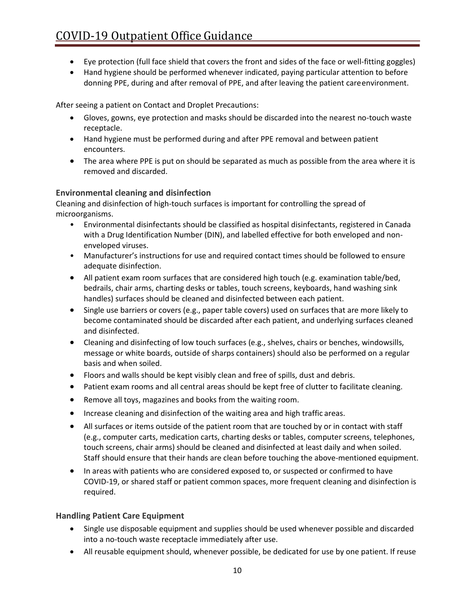- Eye protection (full face shield that covers the front and sides of the face or well-fitting goggles)
- Hand hygiene should be performed whenever indicated, paying particular attention to before donning PPE, during and after removal of PPE, and after leaving the patient careenvironment.

After seeing a patient on Contact and Droplet Precautions:

- Gloves, gowns, eye protection and masks should be discarded into the nearest no-touch waste receptacle.
- Hand hygiene must be performed during and after PPE removal and between patient encounters.
- The area where PPE is put on should be separated as much as possible from the area where it is removed and discarded.

## <span id="page-13-0"></span>**Environmental cleaning and disinfection**

Cleaning and disinfection of high-touch surfaces is important for controlling the spread of microorganisms.

- Environmental disinfectants should be classified as hospital disinfectants, registered in Canada with a Drug Identification Number (DIN), and labelled effective for both enveloped and nonenveloped viruses.
- Manufacturer's instructions for use and required contact times should be followed to ensure adequate disinfection.
- All patient exam room surfaces that are considered high touch (e.g. examination table/bed, bedrails, chair arms, charting desks or tables, touch screens, keyboards, hand washing sink handles) surfaces should be cleaned and disinfected between each patient.
- Single use barriers or covers (e.g., paper table covers) used on surfaces that are more likely to become contaminated should be discarded after each patient, and underlying surfaces cleaned and disinfected.
- Cleaning and disinfecting of low touch surfaces (e.g., shelves, chairs or benches, windowsills, message or white boards, outside of sharps containers) should also be performed on a regular basis and when soiled.
- Floors and walls should be kept visibly clean and free of spills, dust and debris.
- Patient exam rooms and all central areas should be kept free of clutter to facilitate cleaning.
- Remove all toys, magazines and books from the waiting room.
- Increase cleaning and disinfection of the waiting area and high traffic areas.
- All surfaces or items outside of the patient room that are touched by or in contact with staff (e.g., computer carts, medication carts, charting desks or tables, computer screens, telephones, touch screens, chair arms) should be cleaned and disinfected at least daily and when soiled. Staff should ensure that their hands are clean before touching the above-mentioned equipment.
- In areas with patients who are considered exposed to, or suspected or confirmed to have COVID-19, or shared staff or patient common spaces, more frequent cleaning and disinfection is required.

## <span id="page-13-1"></span>**Handling Patient Care Equipment**

- Single use disposable equipment and supplies should be used whenever possible and discarded into a no-touch waste receptacle immediately after use.
- All reusable equipment should, whenever possible, be dedicated for use by one patient. If reuse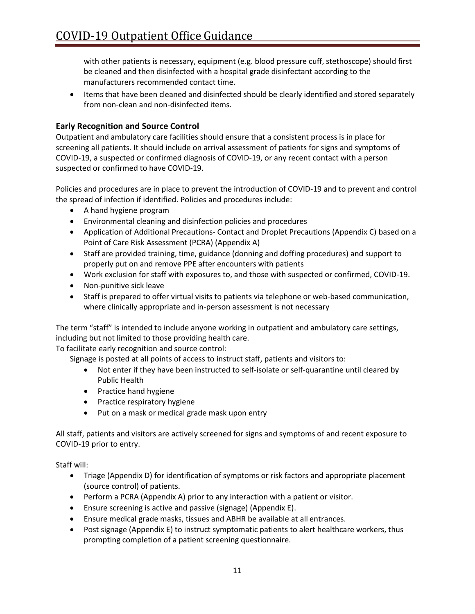with other patients is necessary, equipment (e.g. blood pressure cuff, stethoscope) should first be cleaned and then disinfected with a hospital grade disinfectant according to the manufacturers recommended contact time.

• Items that have been cleaned and disinfected should be clearly identified and stored separately from non-clean and non-disinfected items.

## <span id="page-14-0"></span>**Early Recognition and Source Control**

Outpatient and ambulatory care facilities should ensure that a consistent process is in place for screening all patients. It should include on arrival assessment of patients for signs and symptoms of COVID-19, a suspected or confirmed diagnosis of COVID-19, or any recent contact with a person suspected or confirmed to have COVID-19.

Policies and procedures are in place to prevent the introduction of COVID-19 and to prevent and control the spread of infection if identified. Policies and procedures include:

- A hand hygiene program
- Environmental cleaning and disinfection policies and procedures
- Application of Additional Precautions- Contact and Droplet Precautions (Appendix C) based on a Point of Care Risk Assessment (PCRA) (Appendix A)
- Staff are provided training, time, guidance (donning and doffing procedures) and support to properly put on and remove PPE after encounters with patients
- Work exclusion for staff with exposures to, and those with suspected or confirmed, COVID-19.
- Non-punitive sick leave
- Staff is prepared to offer virtual visits to patients via telephone or web-based communication, where clinically appropriate and in-person assessment is not necessary

The term "staff" is intended to include anyone working in outpatient and ambulatory care settings, including but not limited to those providing health care.

To facilitate early recognition and source control:

Signage is posted at all points of access to instruct staff, patients and visitors to:

- Not enter if they have been instructed to self-isolate or self-quarantine until cleared by Public Health
- Practice hand hygiene
- Practice respiratory hygiene
- Put on a mask or medical grade mask upon entry

All staff, patients and visitors are actively screened for signs and symptoms of and recent exposure to COVID-19 prior to entry.

Staff will:

- Triage (Appendix D) for identification of symptoms or risk factors and appropriate placement (source control) of patients.
- Perform a PCRA (Appendix A) prior to any interaction with a patient or visitor.
- Ensure screening is active and passive (signage) (Appendix E).
- Ensure medical grade masks, tissues and ABHR be available at all entrances.
- Post signage (Appendix E) to instruct symptomatic patients to alert healthcare workers, thus prompting completion of a patient screening questionnaire.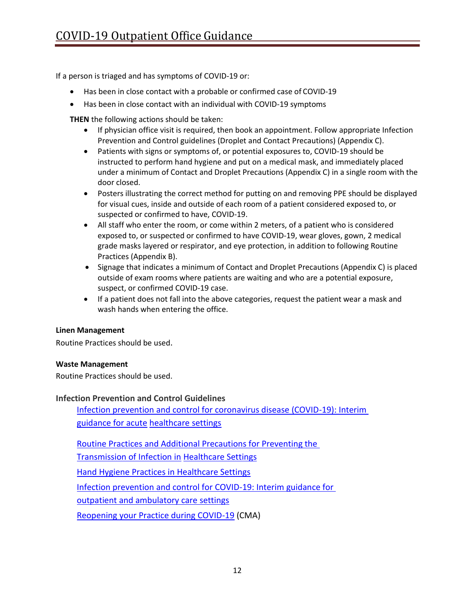If a person is triaged and has symptoms of COVID-19 or:

- Has been in close contact with a probable or confirmed case of COVID-19
- Has been in close contact with an individual with COVID-19 symptoms

**THEN** the following actions should be taken:

- If physician office visit is required, then book an appointment. Follow appropriate Infection Prevention and Control guidelines (Droplet and Contact Precautions) (Appendix C).
- Patients with signs or symptoms of, or potential exposures to, COVID-19 should be instructed to perform hand hygiene and put on a medical mask, and immediately placed under a minimum of Contact and Droplet Precautions (Appendix C) in a single room with the door closed.
- Posters illustrating the correct method for putting on and removing PPE should be displayed for visual cues, inside and outside of each room of a patient considered exposed to, or suspected or confirmed to have, COVID-19.
- All staff who enter the room, or come within 2 meters, of a patient who is considered exposed to, or suspected or confirmed to have COVID-19, wear gloves, gown, 2 medical grade masks layered or respirator, and eye protection, in addition to following Routine Practices (Appendix B).
- Signage that indicates a minimum of Contact and Droplet Precautions (Appendix C) is placed outside of exam rooms where patients are waiting and who are a potential exposure, suspect, or confirmed COVID-19 case.
- If a patient does not fall into the above categories, request the patient wear a mask and wash hands when entering the office.

## <span id="page-15-0"></span>**Linen Management**

Routine Practices should be used.

#### <span id="page-15-1"></span>**Waste Management**

Routine Practices should be used.

## <span id="page-15-2"></span>**Infection Prevention and Control Guidelines**

[Infection prevention and control for coronavirus disease \(COVID-19\): Interim](https://www.canada.ca/en/public-health/services/diseases/2019-novel-coronavirus-infection/health-professionals/interim-guidance-acute-healthcare-settings.html)  [guidance for acute](https://www.canada.ca/en/public-health/services/diseases/2019-novel-coronavirus-infection/health-professionals/interim-guidance-acute-healthcare-settings.html) [healthcare settings](https://www.canada.ca/en/public-health/services/diseases/2019-novel-coronavirus-infection/health-professionals/interim-guidance-acute-healthcare-settings.html)

[Routine Practices and Additional Precautions for Preventing the](https://www.canada.ca/en/public-health/services/publications/diseases-conditions/routine-practices-precautions-healthcare-associated-infections.html) 

[Transmission of Infection in](https://www.canada.ca/en/public-health/services/publications/diseases-conditions/routine-practices-precautions-healthcare-associated-infections.html) [Healthcare Settings](https://www.canada.ca/en/public-health/services/infectious-diseases/nosocomial-occupational-infections/routine-practices-additional-precautions-preventing-transmission-infection-healthcare-settings.html)

[Hand Hygiene Practices in Healthcare Settings](https://publications.gc.ca/collections/collection_2012/aspc-phac/HP40-74-2012-eng.pdf)

[Infection prevention and control for COVID-19: Interim guidance for](https://www.canada.ca/en/public-health/services/diseases/2019-novel-coronavirus-infection/guidance-documents/interim-guidance-outpatient-ambulatory-care-settings.html#a1) 

[outpatient and ambulatory care settings](https://www.canada.ca/en/public-health/services/diseases/2019-novel-coronavirus-infection/guidance-documents/interim-guidance-outpatient-ambulatory-care-settings.html#a1)

[Reopening your Practice during COVID-19](https://www.cma.ca/re-opening-your-practice-during-covid-19) (CMA)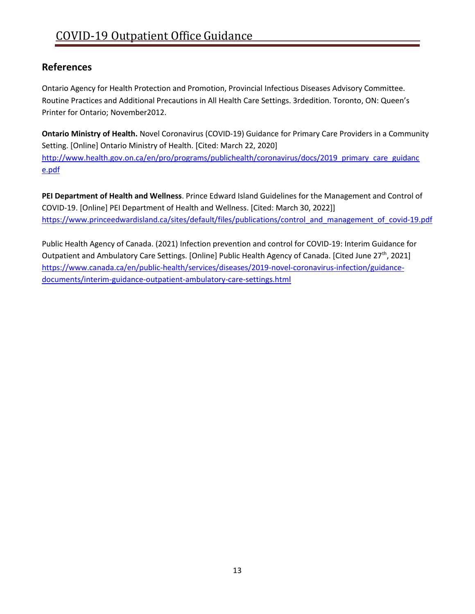## <span id="page-16-0"></span>**References**

Ontario Agency for Health Protection and Promotion, Provincial Infectious Diseases Advisory Committee. Routine Practices and Additional Precautions in All Health Care Settings. 3rdedition. Toronto, ON: Queen's Printer for Ontario; November2012.

**Ontario Ministry of Health.** Novel Coronavirus (COVID-19) Guidance for Primary Care Providers in a Community Setting. [Online] Ontario Ministry of Health. [Cited: March 22, 2020] [http://www.health.gov.on.ca/en/pro/programs/publichealth/coronavirus/docs/2019\\_primary\\_care\\_guidanc](http://www.health.gov.on.ca/en/pro/programs/publichealth/coronavirus/docs/2019_primary_care_guidance.pdf) [e.pdf](http://www.health.gov.on.ca/en/pro/programs/publichealth/coronavirus/docs/2019_primary_care_guidance.pdf)

**PEI Department of Health and Wellness**. Prince Edward Island Guidelines for the Management and Control of COVID-19. [Online] PEI Department of Health and Wellness. [Cited: March 30, 2022]] https://www.princeedwardisland.ca/sites/default/files/publications/control\_and\_management\_of\_covid-19.pdf

Public Health Agency of Canada. (2021) Infection prevention and control for COVID-19: Interim Guidance for Outpatient and Ambulatory Care Settings. [Online] Public Health Agency of Canada. [Cited June 27<sup>th</sup>, 2021] [https://www.canada.ca/en/public-health/services/diseases/2019-novel-coronavirus-infection/guidance](https://www.canada.ca/en/public-health/services/diseases/2019-novel-coronavirus-infection/guidance-documents/interim-guidance-outpatient-ambulatory-care-settings.html)[documents/interim-guidance-outpatient-ambulatory-care-settings.html](https://www.canada.ca/en/public-health/services/diseases/2019-novel-coronavirus-infection/guidance-documents/interim-guidance-outpatient-ambulatory-care-settings.html)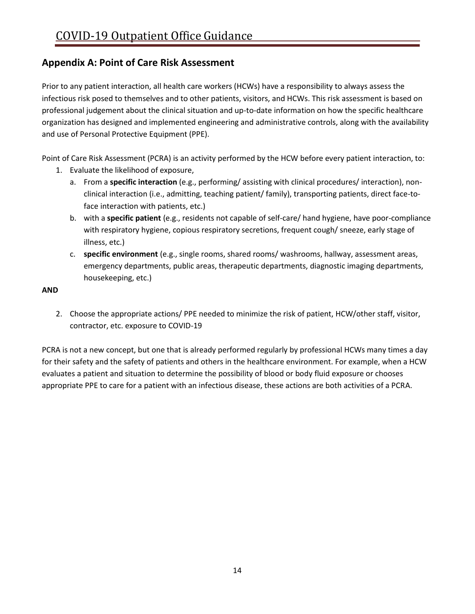## <span id="page-17-0"></span>**Appendix A: Point of Care Risk Assessment**

Prior to any patient interaction, all health care workers (HCWs) have a responsibility to always assess the infectious risk posed to themselves and to other patients, visitors, and HCWs. This risk assessment is based on professional judgement about the clinical situation and up-to-date information on how the specific healthcare organization has designed and implemented engineering and administrative controls, along with the availability and use of Personal Protective Equipment (PPE).

Point of Care Risk Assessment (PCRA) is an activity performed by the HCW before every patient interaction, to:

- 1. Evaluate the likelihood of exposure,
	- a. From a **specific interaction** (e.g., performing/ assisting with clinical procedures/ interaction), nonclinical interaction (i.e., admitting, teaching patient/ family), transporting patients, direct face-toface interaction with patients, etc.)
	- b. with a **specific patient** (e.g., residents not capable of self-care/ hand hygiene, have poor-compliance with respiratory hygiene, copious respiratory secretions, frequent cough/ sneeze, early stage of illness, etc.)
	- c. **specific environment** (e.g., single rooms, shared rooms/ washrooms, hallway, assessment areas, emergency departments, public areas, therapeutic departments, diagnostic imaging departments, housekeeping, etc.)

## **AND**

2. Choose the appropriate actions/ PPE needed to minimize the risk of patient, HCW/other staff, visitor, contractor, etc. exposure to COVID-19

PCRA is not a new concept, but one that is already performed regularly by professional HCWs many times a day for their safety and the safety of patients and others in the healthcare environment. For example, when a HCW evaluates a patient and situation to determine the possibility of blood or body fluid exposure or chooses appropriate PPE to care for a patient with an infectious disease, these actions are both activities of a PCRA.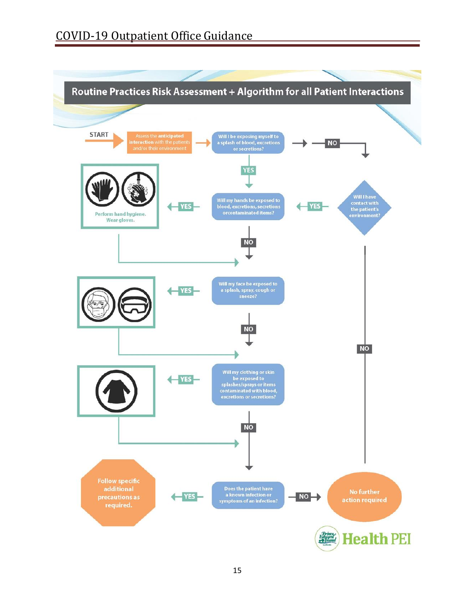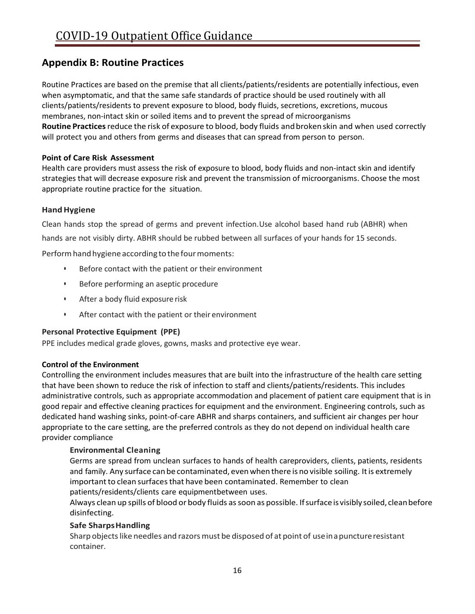## <span id="page-19-0"></span>**Appendix B: Routine Practices**

Routine Practices are based on the premise that all clients/patients/residents are potentially infectious, even when asymptomatic, and that the same safe standards of practice should be used routinely with all clients/patients/residents to prevent exposure to blood, body fluids, secretions, excretions, mucous membranes, non-intact skin or soiled items and to prevent the spread of microorganisms **Routine Practices**reduce the risk of exposure to blood, body fluids andbrokenskin and when used correctly will protect you and others from germs and diseases that can spread from person to person.

## **Point of Care Risk Assessment**

Health care providers must assess the risk of exposure to blood, body fluids and non-intact skin and identify strategies that will decrease exposure risk and prevent the transmission of microorganisms. Choose the most appropriate routine practice for the situation.

## **HandHygiene**

Clean hands stop the spread of germs and prevent infection.Use alcohol based hand rub (ABHR) when

hands are not visibly dirty. ABHR should be rubbed between all surfaces of your hands for 15 seconds.

Perform hand hygiene according to the four moments:

- Before contact with the patient or their environment
- Before performing an aseptic procedure
- After a body fluid exposure risk
- After contact with the patient or their environment

#### **Personal Protective Equipment (PPE)**

PPE includes medical grade gloves, gowns, masks and protective eye wear.

#### **Control of the Environment**

Controlling the environment includes measures that are built into the infrastructure of the health care setting that have been shown to reduce the risk of infection to staff and clients/patients/residents. This includes administrative controls, such as appropriate accommodation and placement of patient care equipment that is in good repair and effective cleaning practices for equipment and the environment. Engineering controls, such as dedicated hand washing sinks, point-of-care ABHR and sharps containers, and sufficient air changes per hour appropriate to the care setting, are the preferred controls as they do not depend on individual health care provider compliance

#### **Environmental Cleaning**

Germs are spread from unclean surfaces to hands of health careproviders, clients, patients, residents and family. Any surface can be contaminated, even when there is no visible soiling. It is extremely important to clean surfaces that have been contaminated. Remember to clean patients/residents/clients care equipmentbetween uses.

Always clean up spills of blood or body fluids as soon as possible. If surface is visibly soiled, clean before disinfecting.

#### **Safe SharpsHandling**

Sharp objects like needles and razors must be disposed of at point of use in a puncture resistant container.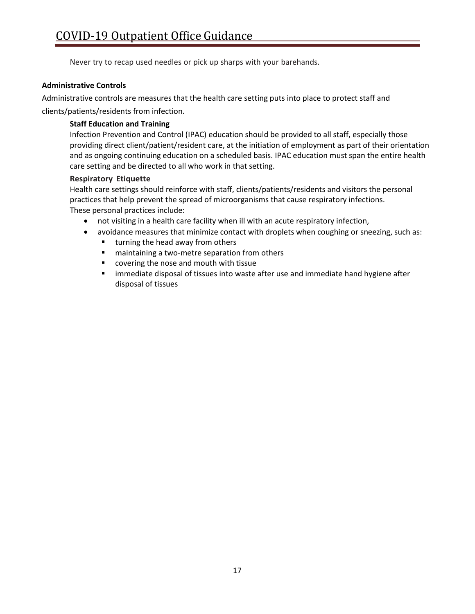Never try to recap used needles or pick up sharps with your barehands.

## **Administrative Controls**

Administrative controls are measures that the health care setting puts into place to protect staff and clients/patients/residents from infection.

## **Staff Education and Training**

Infection Prevention and Control (IPAC) education should be provided to all staff, especially those providing direct client/patient/resident care, at the initiation of employment as part of their orientation and as ongoing continuing education on a scheduled basis. IPAC education must span the entire health care setting and be directed to all who work in that setting.

#### **Respiratory Etiquette**

Health care settings should reinforce with staff, clients/patients/residents and visitors the personal practices that help prevent the spread of microorganisms that cause respiratory infections. These personal practices include:

- not visiting in a health care facility when ill with an acute respiratory infection,
- avoidance measures that minimize contact with droplets when coughing or sneezing, such as:
	- turning the head away from others
	- maintaining a two-metre separation from others
	- covering the nose and mouth with tissue
	- immediate disposal of tissues into waste after use and immediate hand hygiene after disposal of tissues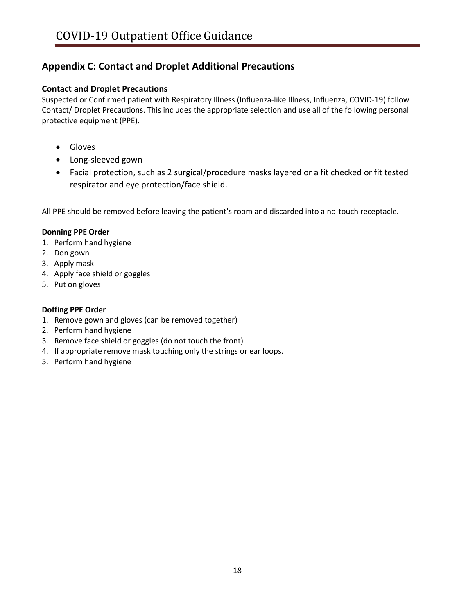## <span id="page-21-0"></span>**Appendix C: Contact and Droplet Additional Precautions**

## **Contact and Droplet Precautions**

Suspected or Confirmed patient with Respiratory Illness (Influenza-like Illness, Influenza, COVID-19) follow Contact/ Droplet Precautions. This includes the appropriate selection and use all of the following personal protective equipment (PPE).

- Gloves
- Long-sleeved gown
- Facial protection, such as 2 surgical/procedure masks layered or a fit checked or fit tested respirator and eye protection/face shield.

All PPE should be removed before leaving the patient's room and discarded into a no-touch receptacle.

## **Donning PPE Order**

- 1. Perform hand hygiene
- 2. Don gown
- 3. Apply mask
- 4. Apply face shield or goggles
- 5. Put on gloves

## **Doffing PPE Order**

- 1. Remove gown and gloves (can be removed together)
- 2. Perform hand hygiene
- 3. Remove face shield or goggles (do not touch the front)
- 4. If appropriate remove mask touching only the strings or ear loops.
- 5. Perform hand hygiene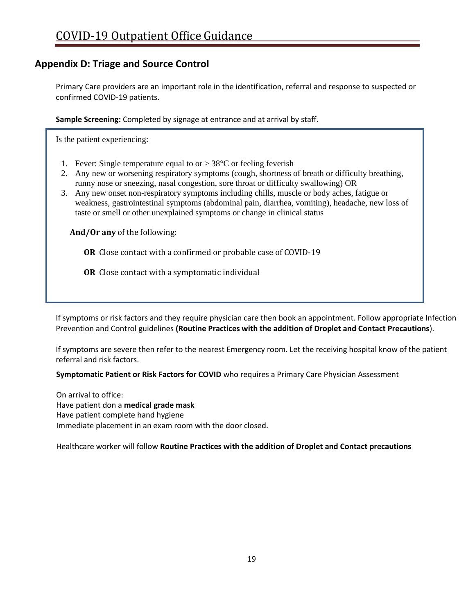## <span id="page-22-0"></span>**Appendix D: Triage and Source Control**

Primary Care providers are an important role in the identification, referral and response to suspected or confirmed COVID-19 patients.

**Sample Screening:** Completed by signage at entrance and at arrival by staff.

Is the patient experiencing:

- 1. Fever: Single temperature equal to or  $> 38^{\circ}$ C or feeling feverish
- 2. Any new or worsening respiratory symptoms (cough, shortness of breath or difficulty breathing, runny nose or sneezing, nasal congestion, sore throat or difficulty swallowing) OR
- 3. Any new onset non-respiratory symptoms including chills, muscle or body aches, fatigue or weakness, gastrointestinal symptoms (abdominal pain, diarrhea, vomiting), headache, new loss of taste or smell or other unexplained symptoms or change in clinical status

**And/Or any** of the following:

**OR** Close contact with a confirmed or probable case of COVID-19

**OR** Close contact with a symptomatic individual

If symptoms or risk factors and they require physician care then book an appointment. Follow appropriate Infection Prevention and Control guidelines **(Routine Practices with the addition of Droplet and Contact Precautions**).

If symptoms are severe then refer to the nearest Emergency room. Let the receiving hospital know of the patient referral and risk factors.

**Symptomatic Patient or Risk Factors for COVID** who requires a Primary Care Physician Assessment

On arrival to office: Have patient don a **medical grade mask** Have patient complete hand hygiene Immediate placement in an exam room with the door closed.

Healthcare worker will follow **Routine Practices with the addition of Droplet and Contact precautions**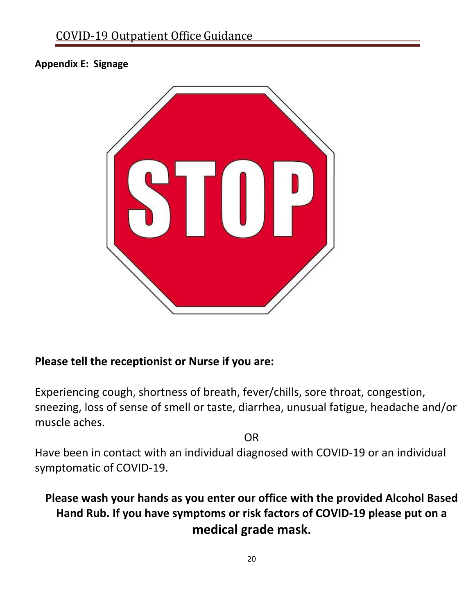## <span id="page-23-0"></span>**Appendix E: Signage**



## **Please tell the receptionist or Nurse if you are:**

Experiencing cough, shortness of breath, fever/chills, sore throat, congestion, sneezing, loss of sense of smell or taste, diarrhea, unusual fatigue, headache and/or muscle aches.

OR

Have been in contact with an individual diagnosed with COVID-19 or an individual symptomatic of COVID-19.

# **Please wash your hands as you enter our office with the provided Alcohol Based Hand Rub. If you have symptoms or risk factors of COVID-19 please put on a medical grade mask.**